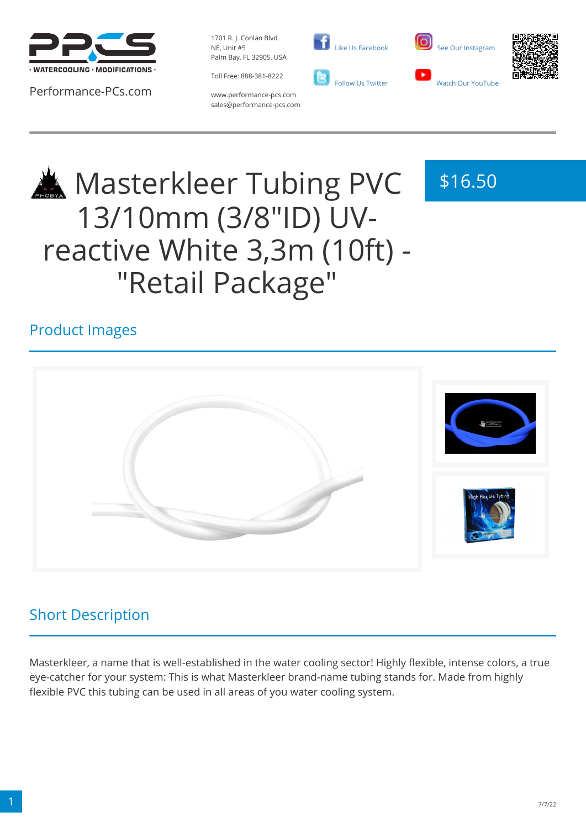

Performance-PCs.com

1701 R. J. Conlan Blvd. NE, Unit #5 Palm Bay, FL 32905, USA

Toll Free: 888-381-8222





\$16.50



www.performance-pcs.com sales@performance-pcs.com

# Masterkleer Tubing PVC 13/10mm (3/8"ID) UVreactive White 3,3m (10ft) - "Retail Package"

### Product Images



### Short Description

Masterkleer, a name that is well-established in the water cooling sector! Highly flexible, intense colors, a true eye-catcher for your system: This is what Masterkleer brand-name tubing stands for. Made from highly flexible PVC this tubing can be used in all areas of you water cooling system.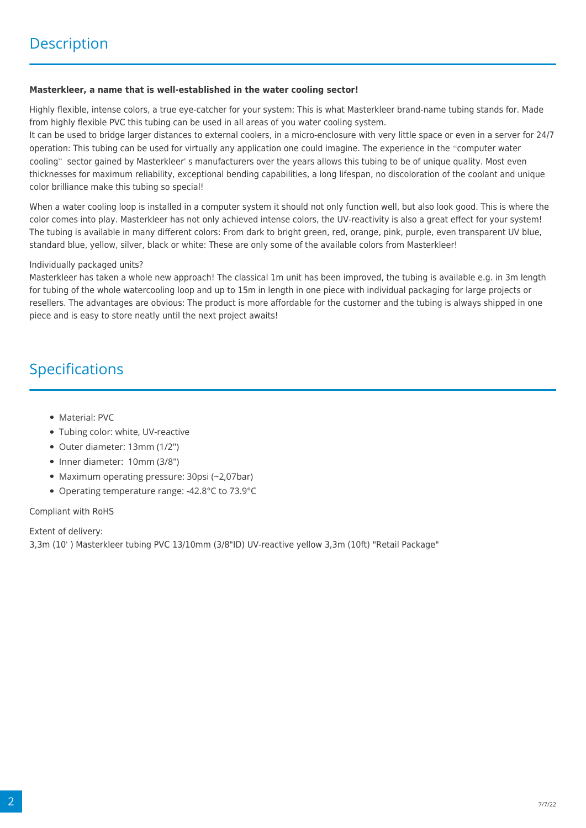#### **Masterkleer, a name that is well-established in the water cooling sector!**

Highly flexible, intense colors, a true eye-catcher for your system: This is what Masterkleer brand-name tubing stands for. Made from highly flexible PVC this tubing can be used in all areas of you water cooling system.

It can be used to bridge larger distances to external coolers, in a micro-enclosure with very little space or even in a server for 24/7 operation: This tubing can be used for virtually any application one could imagine. The experience in the "computer water cooling" sector gained by Masterkleer's manufacturers over the years allows this tubing to be of unique quality. Most even thicknesses for maximum reliability, exceptional bending capabilities, a long lifespan, no discoloration of the coolant and unique color brilliance make this tubing so special!

When a water cooling loop is installed in a computer system it should not only function well, but also look good. This is where the color comes into play. Masterkleer has not only achieved intense colors, the UV-reactivity is also a great effect for your system! The tubing is available in many different colors: From dark to bright green, red, orange, pink, purple, even transparent UV blue, standard blue, yellow, silver, black or white: These are only some of the available colors from Masterkleer!

#### Individually packaged units?

Masterkleer has taken a whole new approach! The classical 1m unit has been improved, the tubing is available e.g. in 3m length for tubing of the whole watercooling loop and up to 15m in length in one piece with individual packaging for large projects or resellers. The advantages are obvious: The product is more affordable for the customer and the tubing is always shipped in one piece and is easy to store neatly until the next project awaits!

### Specifications

- Material: PVC
- Tubing color: white, UV-reactive
- Outer diameter: 13mm (1/2")
- Inner diameter: 10mm (3/8")
- Maximum operating pressure: 30psi (~2,07bar)
- Operating temperature range: -42.8°C to 73.9°C

#### Compliant with RoHS

Extent of delivery:

3,3m (10) Masterkleer tubing PVC 13/10mm (3/8"ID) UV-reactive yellow 3,3m (10ft) "Retail Package"